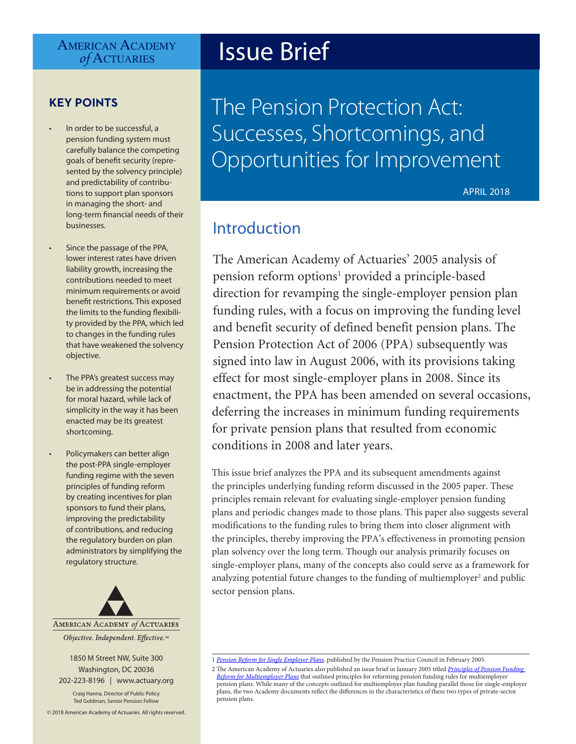# AMERICAN ACADEMY<br> *of* ACTUARIES

## **KEY POINTS**

- In order to be successful, a pension funding system must carefully balance the competing goals of benefit security (represented by the solvency principle) and predictability of contributions to support plan sponsors in managing the short- and long-term financial needs of their businesses.
- Since the passage of the PPA, lower interest rates have driven liability growth, increasing the contributions needed to meet minimum requirements or avoid benefit restrictions. This exposed the limits to the funding flexibility provided by the PPA, which led to changes in the funding rules that have weakened the solvency objective.
- The PPA's greatest success may be in addressing the potential for moral hazard, while lack of simplicity in the way it has been enacted may be its greatest shortcoming.
- Policymakers can better align the post-PPA single-employer funding regime with the seven principles of funding reform by creating incentives for plan sponsors to fund their plans, improving the predictability of contributions, and reducing the regulatory burden on plan administrators by simplifying the regulatory structure.



1850 M Street NW, Suite 300 Washington, DC 20036 202-223-8196 | [www.actuary.org](http://www.actuary.org)

Craig Hanna, Director of Public Policy Ted Goldman, Senior Pension Fellow

© 2018 American Academy of Actuaries. All rights reserved.

# **Issue Brief**

The Pension Protection Act: Successes, Shortcomings, and Opportunities for Improvement

APRIL 2018

## Introduction

The American Academy of Actuaries' 2005 analysis of pension reform options<sup>1</sup> provided a principle-based direction for revamping the single-employer pension plan funding rules, with a focus on improving the funding level and benefit security of defined benefit pension plans. The Pension Protection Act of 2006 (PPA) subsequently was signed into law in August 2006, with its provisions taking effect for most single-employer plans in 2008. Since its enactment, the PPA has been amended on several occasions, deferring the increases in minimum funding requirements for private pension plans that resulted from economic conditions in 2008 and later years.

This issue brief analyzes the PPA and its subsequent amendments against the principles underlying funding reform discussed in the 2005 paper. These principles remain relevant for evaluating single-employer pension funding plans and periodic changes made to those plans. This paper also suggests several modifications to the funding rules to bring them into closer alignment with the principles, thereby improving the PPA's effectiveness in promoting pension plan solvency over the long term. Though our analysis primarily focuses on single-employer plans, many of the concepts also could serve as a framework for analyzing potential future changes to the funding of multiemployer<sup>2</sup> and public sector pension plans.

2 The American Academy of Actuaries also published an issue brief in January 2005 titled *[Principles of Pension Funding](http://www.actuary.org/files/funding_issuebrief_05.4.pdf/funding_issuebrief_05.4.pdf)  [Reform for Multiemployer Plans](http://www.actuary.org/files/funding_issuebrief_05.4.pdf/funding_issuebrief_05.4.pdf)* that outlined principles for reforming pension funding rules for multiemployer pension plans. While many of the concepts outlined for multiemployer plan funding parallel those for single-employer plans, the two Academy documents reflect the differences in the characteristics of these two types of private-sector pension plans.

<sup>1</sup> *[Pension Reform for Single Employer Plans](http://www.actuary.org/files/funding_single.4.pdf/funding_single.4.pdf),* published by the Pension Practice Council in February 2005.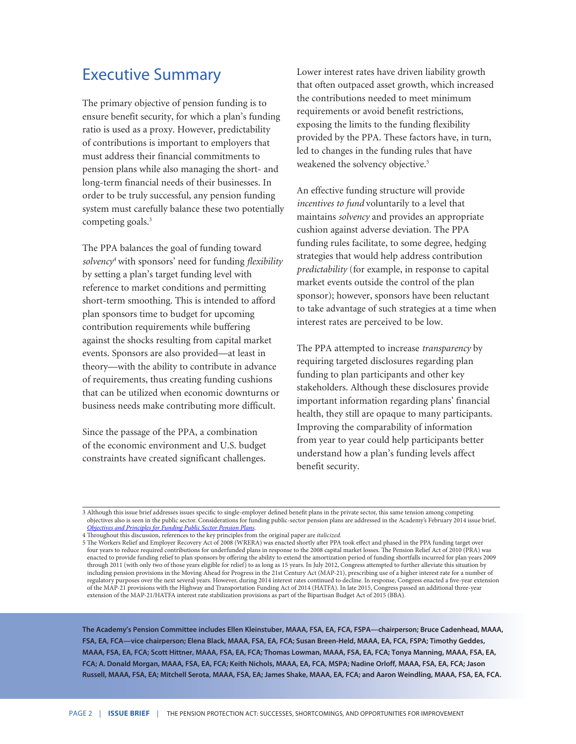# Executive Summary

The primary objective of pension funding is to ensure benefit security, for which a plan's funding ratio is used as a proxy. However, predictability of contributions is important to employers that must address their financial commitments to pension plans while also managing the short- and long-term financial needs of their businesses. In order to be truly successful, any pension funding system must carefully balance these two potentially competing goals.<sup>3</sup>

The PPA balances the goal of funding toward *solvency4* with sponsors' need for funding *flexibility*  by setting a plan's target funding level with reference to market conditions and permitting short-term smoothing. This is intended to afford plan sponsors time to budget for upcoming contribution requirements while buffering against the shocks resulting from capital market events. Sponsors are also provided—at least in theory—with the ability to contribute in advance of requirements, thus creating funding cushions that can be utilized when economic downturns or business needs make contributing more difficult.

Since the passage of the PPA, a combination of the economic environment and U.S. budget constraints have created significant challenges.

Lower interest rates have driven liability growth that often outpaced asset growth, which increased the contributions needed to meet minimum requirements or avoid benefit restrictions, exposing the limits to the funding flexibility provided by the PPA. These factors have, in turn, led to changes in the funding rules that have weakened the solvency objective.<sup>5</sup>

An effective funding structure will provide *incentives to fund* voluntarily to a level that maintains *solvency* and provides an appropriate cushion against adverse deviation. The PPA funding rules facilitate, to some degree, hedging strategies that would help address contribution *predictability* (for example, in response to capital market events outside the control of the plan sponsor); however, sponsors have been reluctant to take advantage of such strategies at a time when interest rates are perceived to be low.

The PPA attempted to increase *transparency* by requiring targeted disclosures regarding plan funding to plan participants and other key stakeholders. Although these disclosures provide important information regarding plans' financial health, they still are opaque to many participants. Improving the comparability of information from year to year could help participants better understand how a plan's funding levels affect benefit security.

**The Academy's Pension Committee includes Ellen Kleinstuber, MAAA, FSA, EA, FCA, FSPA—chairperson; Bruce Cadenhead, MAAA, FSA, EA, FCA—vice chairperson; Elena Black, MAAA, FSA, EA, FCA; Susan Breen-Held, MAAA, EA, FCA, FSPA; Timothy Geddes, MAAA, FSA, EA, FCA; Scott Hittner, MAAA, FSA, EA, FCA; Thomas Lowman, MAAA, FSA, EA, FCA; Tonya Manning, MAAA, FSA, EA, FCA; A. Donald Morgan, MAAA, FSA, EA, FCA; Keith Nichols, MAAA, EA, FCA, MSPA; Nadine Orloff, MAAA, FSA, EA, FCA; Jason Russell, MAAA, FSA, EA; Mitchell Serota, MAAA, FSA, EA; James Shake, MAAA, EA, FCA; and Aaron Weindling, MAAA, FSA, EA, FCA.**

<sup>3</sup> Although this issue brief addresses issues specific to single-employer defined benefit plans in the private sector, this same tension among competing objectives also is seen in the public sector. Considerations for funding public-sector pension plans are addressed in the Academy's February 2014 issue brief, *[Objectives and Principles for Funding Public Sector Pension Plans](http://www.actuary.org/files/Public-Plans_IB-Funding-Policy_02-18-2014.pdf)*.

<sup>4</sup> Throughout this discussion, references to the key principles from the original paper are *italicized.*

<sup>5</sup> The Workers Relief and Employer Recovery Act of 2008 (WRERA) was enacted shortly after PPA took effect and phased in the PPA funding target over four years to reduce required contributions for underfunded plans in response to the 2008 capital market losses. The Pension Relief Act of 2010 (PRA) was enacted to provide funding relief to plan sponsors by offering the ability to extend the amortization period of funding shortfalls incurred for plan years 2009 through 2011 (with only two of those years eligible for relief) to as long as 15 years. In July 2012, Congress attempted to further alleviate this situation by including pension provisions in the Moving Ahead for Progress in the 21st Century Act (MAP-21), prescribing use of a higher interest rate for a number of regulatory purposes over the next several years. However, during 2014 interest rates continued to decline. In response, Congress enacted a five-year extension of the MAP-21 provisions with the Highway and Transportation Funding Act of 2014 (HATFA). In late 2015, Congress passed an additional three-year extension of the MAP-21/HATFA interest rate stabilization provisions as part of the Bipartisan Budget Act of 2015 (BBA).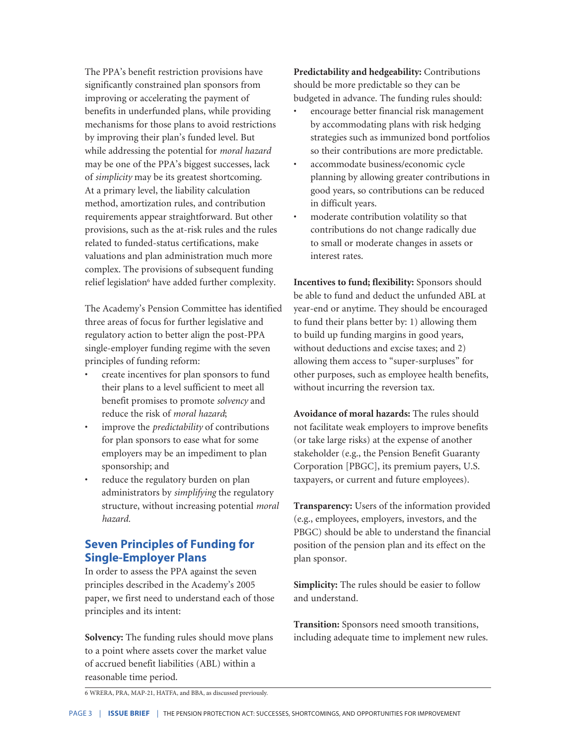The PPA's benefit restriction provisions have significantly constrained plan sponsors from improving or accelerating the payment of benefits in underfunded plans, while providing mechanisms for those plans to avoid restrictions by improving their plan's funded level. But while addressing the potential for *moral hazard* may be one of the PPA's biggest successes, lack of *simplicity* may be its greatest shortcoming. At a primary level, the liability calculation method, amortization rules, and contribution requirements appear straightforward. But other provisions, such as the at-risk rules and the rules related to funded-status certifications, make valuations and plan administration much more complex. The provisions of subsequent funding relief legislation<sup>6</sup> have added further complexity.

The Academy's Pension Committee has identified three areas of focus for further legislative and regulatory action to better align the post-PPA single-employer funding regime with the seven principles of funding reform:

- create incentives for plan sponsors to fund their plans to a level sufficient to meet all benefit promises to promote *solvency* and reduce the risk of *moral hazard*;
- improve the *predictability* of contributions for plan sponsors to ease what for some employers may be an impediment to plan sponsorship; and
- reduce the regulatory burden on plan administrators by *simplifying* the regulatory structure, without increasing potential *moral hazard.*

## **Seven Principles of Funding for Single-Employer Plans**

In order to assess the PPA against the seven principles described in the Academy's 2005 paper, we first need to understand each of those principles and its intent:

**Solvency:** The funding rules should move plans to a point where assets cover the market value of accrued benefit liabilities (ABL) within a reasonable time period.

**Predictability and hedgeability:** Contributions should be more predictable so they can be budgeted in advance. The funding rules should:

- encourage better financial risk management by accommodating plans with risk hedging strategies such as immunized bond portfolios so their contributions are more predictable.
- accommodate business/economic cycle planning by allowing greater contributions in good years, so contributions can be reduced in difficult years.
- moderate contribution volatility so that contributions do not change radically due to small or moderate changes in assets or interest rates.

**Incentives to fund; flexibility:** Sponsors should be able to fund and deduct the unfunded ABL at year-end or anytime. They should be encouraged to fund their plans better by: 1) allowing them to build up funding margins in good years, without deductions and excise taxes; and 2) allowing them access to "super-surpluses" for other purposes, such as employee health benefits, without incurring the reversion tax.

**Avoidance of moral hazards:** The rules should not facilitate weak employers to improve benefits (or take large risks) at the expense of another stakeholder (e.g., the Pension Benefit Guaranty Corporation [PBGC], its premium payers, U.S. taxpayers, or current and future employees).

**Transparency:** Users of the information provided (e.g., employees, employers, investors, and the PBGC) should be able to understand the financial position of the pension plan and its effect on the plan sponsor.

**Simplicity:** The rules should be easier to follow and understand.

**Transition:** Sponsors need smooth transitions, including adequate time to implement new rules.

6 WRERA, PRA, MAP-21, HATFA, and BBA, as discussed previously.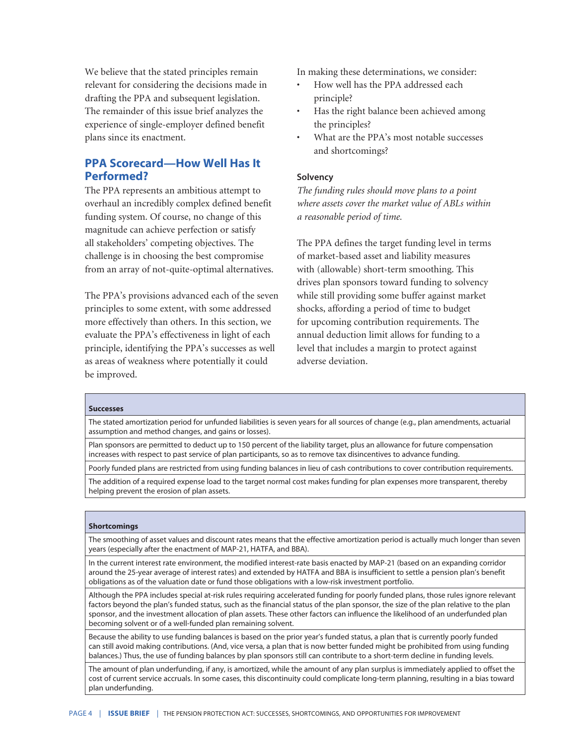We believe that the stated principles remain relevant for considering the decisions made in drafting the PPA and subsequent legislation. The remainder of this issue brief analyzes the experience of single-employer defined benefit plans since its enactment.

## **PPA Scorecard—How Well Has It Performed?**

The PPA represents an ambitious attempt to overhaul an incredibly complex defined benefit funding system. Of course, no change of this magnitude can achieve perfection or satisfy all stakeholders' competing objectives. The challenge is in choosing the best compromise from an array of not-quite-optimal alternatives.

The PPA's provisions advanced each of the seven principles to some extent, with some addressed more effectively than others. In this section, we evaluate the PPA's effectiveness in light of each principle, identifying the PPA's successes as well as areas of weakness where potentially it could be improved.

In making these determinations, we consider:

- How well has the PPA addressed each principle?
- Has the right balance been achieved among the principles?
- What are the PPA's most notable successes and shortcomings?

#### **Solvency**

*The funding rules should move plans to a point where assets cover the market value of ABLs within a reasonable period of time.*

The PPA defines the target funding level in terms of market-based asset and liability measures with (allowable) short-term smoothing. This drives plan sponsors toward funding to solvency while still providing some buffer against market shocks, affording a period of time to budget for upcoming contribution requirements. The annual deduction limit allows for funding to a level that includes a margin to protect against adverse deviation.

#### **Successes**

The stated amortization period for unfunded liabilities is seven years for all sources of change (e.g., plan amendments, actuarial assumption and method changes, and gains or losses).

Plan sponsors are permitted to deduct up to 150 percent of the liability target, plus an allowance for future compensation increases with respect to past service of plan participants, so as to remove tax disincentives to advance funding.

Poorly funded plans are restricted from using funding balances in lieu of cash contributions to cover contribution requirements.

The addition of a required expense load to the target normal cost makes funding for plan expenses more transparent, thereby helping prevent the erosion of plan assets.

#### **Shortcomings**

The smoothing of asset values and discount rates means that the effective amortization period is actually much longer than seven years (especially after the enactment of MAP-21, HATFA, and BBA).

In the current interest rate environment, the modified interest-rate basis enacted by MAP-21 (based on an expanding corridor around the 25-year average of interest rates) and extended by HATFA and BBA is insufficient to settle a pension plan's benefit obligations as of the valuation date or fund those obligations with a low-risk investment portfolio.

Although the PPA includes special at-risk rules requiring accelerated funding for poorly funded plans, those rules ignore relevant factors beyond the plan's funded status, such as the financial status of the plan sponsor, the size of the plan relative to the plan sponsor, and the investment allocation of plan assets. These other factors can influence the likelihood of an underfunded plan becoming solvent or of a well-funded plan remaining solvent.

Because the ability to use funding balances is based on the prior year's funded status, a plan that is currently poorly funded can still avoid making contributions. (And, vice versa, a plan that is now better funded might be prohibited from using funding balances.) Thus, the use of funding balances by plan sponsors still can contribute to a short-term decline in funding levels.

The amount of plan underfunding, if any, is amortized, while the amount of any plan surplus is immediately applied to offset the cost of current service accruals. In some cases, this discontinuity could complicate long-term planning, resulting in a bias toward plan underfunding.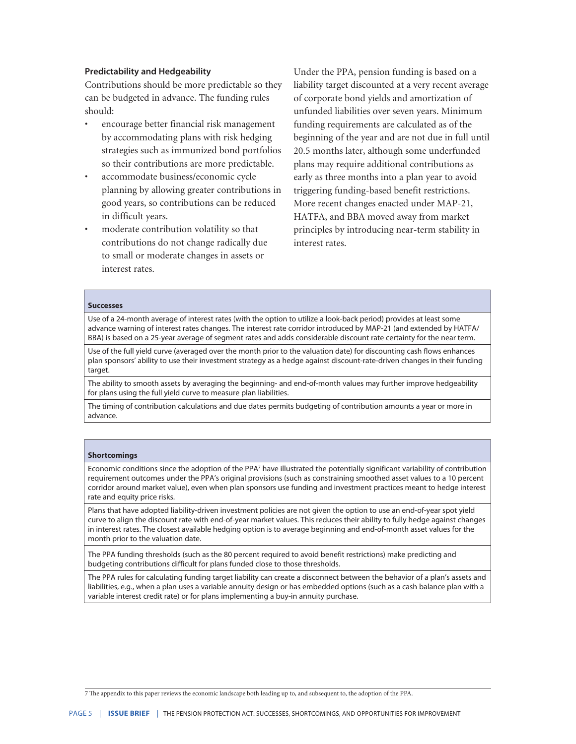#### **Predictability and Hedgeability**

Contributions should be more predictable so they can be budgeted in advance. The funding rules should:

- encourage better financial risk management by accommodating plans with risk hedging strategies such as immunized bond portfolios so their contributions are more predictable.
- accommodate business/economic cycle planning by allowing greater contributions in good years, so contributions can be reduced in difficult years.
- moderate contribution volatility so that contributions do not change radically due to small or moderate changes in assets or interest rates.

Under the PPA, pension funding is based on a liability target discounted at a very recent average of corporate bond yields and amortization of unfunded liabilities over seven years. Minimum funding requirements are calculated as of the beginning of the year and are not due in full until 20.5 months later, although some underfunded plans may require additional contributions as early as three months into a plan year to avoid triggering funding-based benefit restrictions. More recent changes enacted under MAP-21, HATFA, and BBA moved away from market principles by introducing near-term stability in interest rates.

#### **Successes**

Use of a 24-month average of interest rates (with the option to utilize a look-back period) provides at least some advance warning of interest rates changes. The interest rate corridor introduced by MAP-21 (and extended by HATFA/ BBA) is based on a 25-year average of segment rates and adds considerable discount rate certainty for the near term.

Use of the full yield curve (averaged over the month prior to the valuation date) for discounting cash flows enhances plan sponsors' ability to use their investment strategy as a hedge against discount-rate-driven changes in their funding target.

The ability to smooth assets by averaging the beginning- and end-of-month values may further improve hedgeability for plans using the full yield curve to measure plan liabilities.

The timing of contribution calculations and due dates permits budgeting of contribution amounts a year or more in advance.

#### **Shortcomings**

Economic conditions since the adoption of the PPA<sup>7</sup> have illustrated the potentially significant variability of contribution requirement outcomes under the PPA's original provisions (such as constraining smoothed asset values to a 10 percent corridor around market value), even when plan sponsors use funding and investment practices meant to hedge interest rate and equity price risks.

Plans that have adopted liability-driven investment policies are not given the option to use an end-of-year spot yield curve to align the discount rate with end-of-year market values. This reduces their ability to fully hedge against changes in interest rates. The closest available hedging option is to average beginning and end-of-month asset values for the month prior to the valuation date.

The PPA funding thresholds (such as the 80 percent required to avoid benefit restrictions) make predicting and budgeting contributions difficult for plans funded close to those thresholds.

The PPA rules for calculating funding target liability can create a disconnect between the behavior of a plan's assets and liabilities, e.g., when a plan uses a variable annuity design or has embedded options (such as a cash balance plan with a variable interest credit rate) or for plans implementing a buy-in annuity purchase.

7 The appendix to this paper reviews the economic landscape both leading up to, and subsequent to, the adoption of the PPA.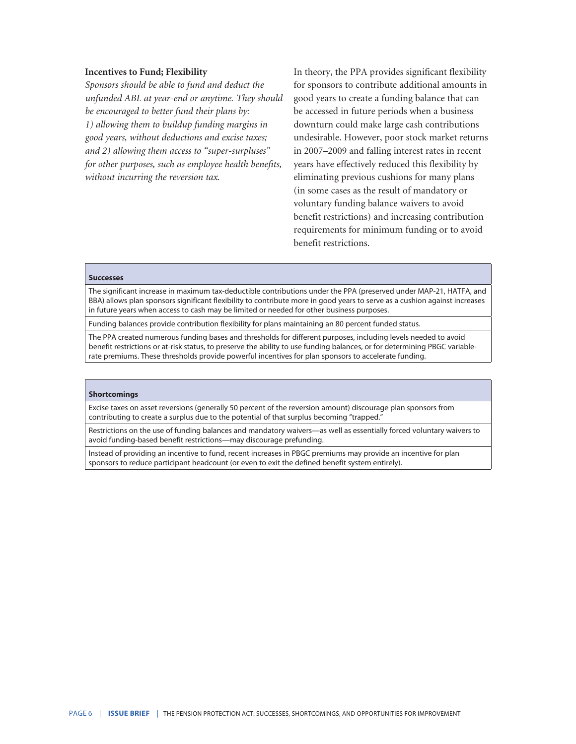#### **Incentives to Fund; Flexibility**

*Sponsors should be able to fund and deduct the unfunded ABL at year-end or anytime. They should be encouraged to better fund their plans by: 1) allowing them to buildup funding margins in good years, without deductions and excise taxes; and 2) allowing them access to "super-surpluses" for other purposes, such as employee health benefits, without incurring the reversion tax.*

In theory, the PPA provides significant flexibility for sponsors to contribute additional amounts in good years to create a funding balance that can be accessed in future periods when a business downturn could make large cash contributions undesirable. However, poor stock market returns in 2007–2009 and falling interest rates in recent years have effectively reduced this flexibility by eliminating previous cushions for many plans (in some cases as the result of mandatory or voluntary funding balance waivers to avoid benefit restrictions) and increasing contribution requirements for minimum funding or to avoid benefit restrictions.

#### **Successes**

The significant increase in maximum tax-deductible contributions under the PPA (preserved under MAP-21, HATFA, and BBA) allows plan sponsors significant flexibility to contribute more in good years to serve as a cushion against increases in future years when access to cash may be limited or needed for other business purposes.

Funding balances provide contribution flexibility for plans maintaining an 80 percent funded status.

The PPA created numerous funding bases and thresholds for different purposes, including levels needed to avoid benefit restrictions or at-risk status, to preserve the ability to use funding balances, or for determining PBGC variablerate premiums. These thresholds provide powerful incentives for plan sponsors to accelerate funding.

#### **Shortcomings**

Excise taxes on asset reversions (generally 50 percent of the reversion amount) discourage plan sponsors from contributing to create a surplus due to the potential of that surplus becoming "trapped."

Restrictions on the use of funding balances and mandatory waivers—as well as essentially forced voluntary waivers to avoid funding-based benefit restrictions—may discourage prefunding.

Instead of providing an incentive to fund, recent increases in PBGC premiums may provide an incentive for plan sponsors to reduce participant headcount (or even to exit the defined benefit system entirely).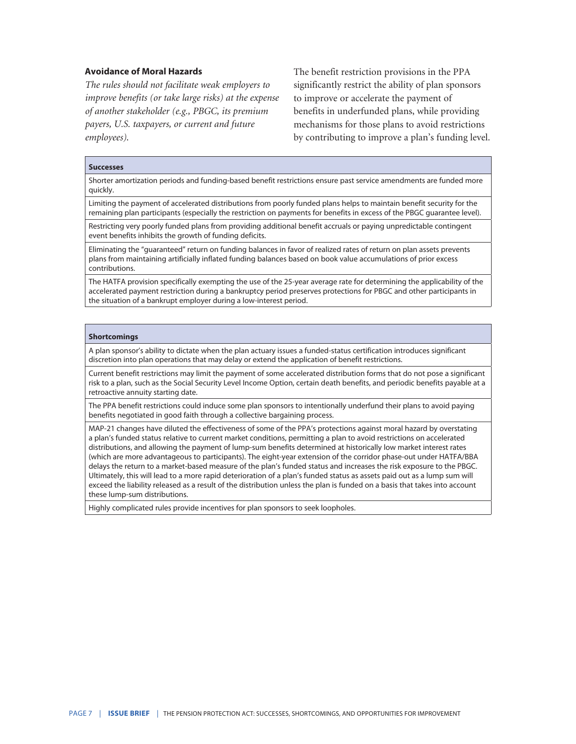#### **Avoidance of Moral Hazards**

*The rules should not facilitate weak employers to improve benefits (or take large risks) at the expense of another stakeholder (e.g., PBGC, its premium payers, U.S. taxpayers, or current and future employees)*.

The benefit restriction provisions in the PPA significantly restrict the ability of plan sponsors to improve or accelerate the payment of benefits in underfunded plans, while providing mechanisms for those plans to avoid restrictions by contributing to improve a plan's funding level.

#### **Successes**

Shorter amortization periods and funding-based benefit restrictions ensure past service amendments are funded more quickly.

Limiting the payment of accelerated distributions from poorly funded plans helps to maintain benefit security for the remaining plan participants (especially the restriction on payments for benefits in excess of the PBGC guarantee level).

Restricting very poorly funded plans from providing additional benefit accruals or paying unpredictable contingent event benefits inhibits the growth of funding deficits.

Eliminating the "guaranteed" return on funding balances in favor of realized rates of return on plan assets prevents plans from maintaining artificially inflated funding balances based on book value accumulations of prior excess contributions.

The HATFA provision specifically exempting the use of the 25-year average rate for determining the applicability of the accelerated payment restriction during a bankruptcy period preserves protections for PBGC and other participants in the situation of a bankrupt employer during a low-interest period.

#### **Shortcomings**

A plan sponsor's ability to dictate when the plan actuary issues a funded-status certification introduces significant discretion into plan operations that may delay or extend the application of benefit restrictions.

Current benefit restrictions may limit the payment of some accelerated distribution forms that do not pose a significant risk to a plan, such as the Social Security Level Income Option, certain death benefits, and periodic benefits payable at a retroactive annuity starting date.

The PPA benefit restrictions could induce some plan sponsors to intentionally underfund their plans to avoid paying benefits negotiated in good faith through a collective bargaining process.

MAP-21 changes have diluted the effectiveness of some of the PPA's protections against moral hazard by overstating a plan's funded status relative to current market conditions, permitting a plan to avoid restrictions on accelerated distributions, and allowing the payment of lump-sum benefits determined at historically low market interest rates (which are more advantageous to participants). The eight-year extension of the corridor phase-out under HATFA/BBA delays the return to a market-based measure of the plan's funded status and increases the risk exposure to the PBGC. Ultimately, this will lead to a more rapid deterioration of a plan's funded status as assets paid out as a lump sum will exceed the liability released as a result of the distribution unless the plan is funded on a basis that takes into account these lump-sum distributions.

Highly complicated rules provide incentives for plan sponsors to seek loopholes.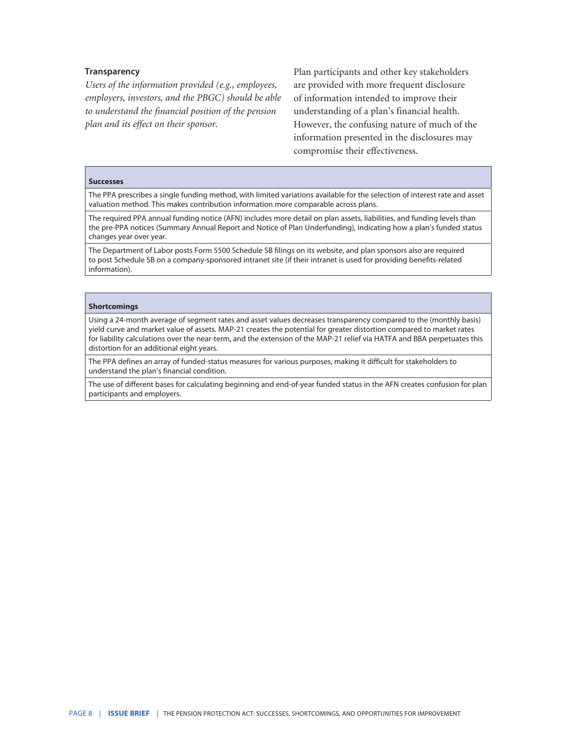#### **Transparency**

*Users of the information provided (e.g., employees, employers, investors, and the PBGC) should be able to understand the financial position of the pension plan and its effect on their sponsor.*

Plan participants and other key stakeholders are provided with more frequent disclosure of information intended to improve their understanding of a plan's financial health. However, the confusing nature of much of the information presented in the disclosures may compromise their effectiveness.

#### **Successes**

The PPA prescribes a single funding method, with limited variations available for the selection of interest rate and asset valuation method. This makes contribution information more comparable across plans.

The required PPA annual funding notice (AFN) includes more detail on plan assets, liabilities, and funding levels than the pre-PPA notices (Summary Annual Report and Notice of Plan Underfunding), indicating how a plan's funded status changes year over year.

The Department of Labor posts Form 5500 Schedule SB filings on its website, and plan sponsors also are required to post Schedule SB on a company-sponsored intranet site (if their intranet is used for providing benefits-related information).

#### **Shortcomings**

Using a 24-month average of segment rates and asset values decreases transparency compared to the (monthly basis) yield curve and market value of assets. MAP-21 creates the potential for greater distortion compared to market rates for liability calculations over the near-term, and the extension of the MAP-21 relief via HATFA and BBA perpetuates this distortion for an additional eight years.

The PPA defines an array of funded-status measures for various purposes, making it difficult for stakeholders to understand the plan's financial condition.

The use of different bases for calculating beginning and end-of-year funded status in the AFN creates confusion for plan participants and employers.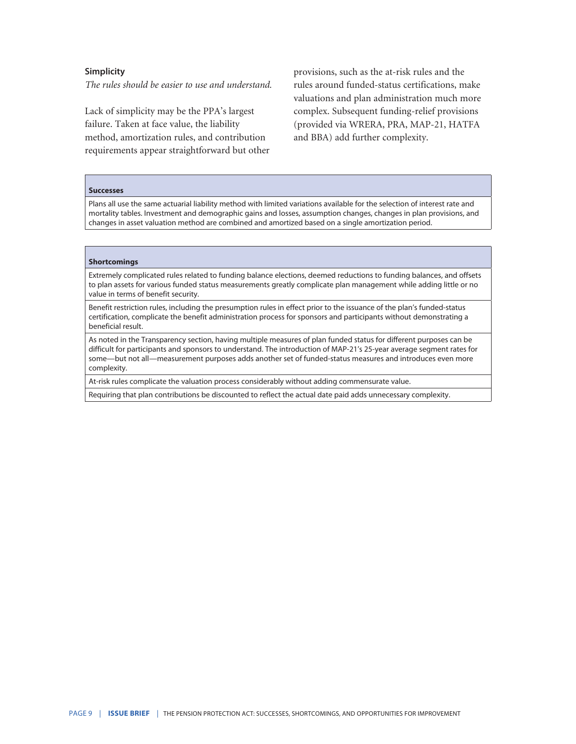#### **Simplicity**

*The rules should be easier to use and understand.*

Lack of simplicity may be the PPA's largest failure. Taken at face value, the liability method, amortization rules, and contribution requirements appear straightforward but other provisions, such as the at-risk rules and the rules around funded-status certifications, make valuations and plan administration much more complex. Subsequent funding-relief provisions (provided via WRERA, PRA, MAP-21, HATFA and BBA) add further complexity.

#### **Successes**

Plans all use the same actuarial liability method with limited variations available for the selection of interest rate and mortality tables. Investment and demographic gains and losses, assumption changes, changes in plan provisions, and changes in asset valuation method are combined and amortized based on a single amortization period.

#### **Shortcomings**

Extremely complicated rules related to funding balance elections, deemed reductions to funding balances, and offsets to plan assets for various funded status measurements greatly complicate plan management while adding little or no value in terms of benefit security.

Benefit restriction rules, including the presumption rules in effect prior to the issuance of the plan's funded-status certification, complicate the benefit administration process for sponsors and participants without demonstrating a beneficial result.

As noted in the Transparency section, having multiple measures of plan funded status for different purposes can be difficult for participants and sponsors to understand. The introduction of MAP-21's 25-year average segment rates for some—but not all—measurement purposes adds another set of funded-status measures and introduces even more complexity.

At-risk rules complicate the valuation process considerably without adding commensurate value.

Requiring that plan contributions be discounted to reflect the actual date paid adds unnecessary complexity.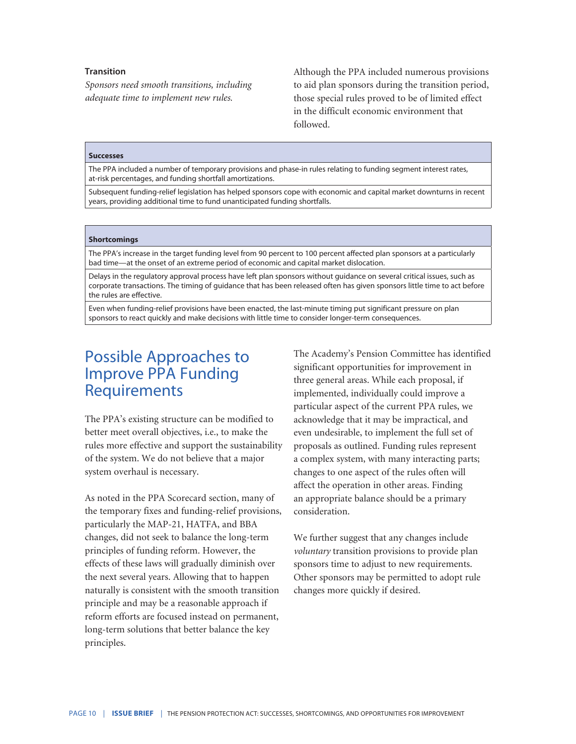#### **Transition**

*Sponsors need smooth transitions, including adequate time to implement new rules.*

Although the PPA included numerous provisions to aid plan sponsors during the transition period, those special rules proved to be of limited effect in the difficult economic environment that followed.

#### **Successes**

The PPA included a number of temporary provisions and phase-in rules relating to funding segment interest rates, at-risk percentages, and funding shortfall amortizations.

Subsequent funding-relief legislation has helped sponsors cope with economic and capital market downturns in recent years, providing additional time to fund unanticipated funding shortfalls.

#### **Shortcomings**

The PPA's increase in the target funding level from 90 percent to 100 percent affected plan sponsors at a particularly bad time—at the onset of an extreme period of economic and capital market dislocation.

Delays in the regulatory approval process have left plan sponsors without guidance on several critical issues, such as corporate transactions. The timing of guidance that has been released often has given sponsors little time to act before the rules are effective.

Even when funding-relief provisions have been enacted, the last-minute timing put significant pressure on plan sponsors to react quickly and make decisions with little time to consider longer-term consequences.

## Possible Approaches to Improve PPA Funding **Requirements**

The PPA's existing structure can be modified to better meet overall objectives, i.e., to make the rules more effective and support the sustainability of the system. We do not believe that a major system overhaul is necessary.

As noted in the PPA Scorecard section, many of the temporary fixes and funding-relief provisions, particularly the MAP-21, HATFA, and BBA changes, did not seek to balance the long-term principles of funding reform. However, the effects of these laws will gradually diminish over the next several years. Allowing that to happen naturally is consistent with the smooth transition principle and may be a reasonable approach if reform efforts are focused instead on permanent, long-term solutions that better balance the key principles.

The Academy's Pension Committee has identified significant opportunities for improvement in three general areas. While each proposal, if implemented, individually could improve a particular aspect of the current PPA rules, we acknowledge that it may be impractical, and even undesirable, to implement the full set of proposals as outlined. Funding rules represent a complex system, with many interacting parts; changes to one aspect of the rules often will affect the operation in other areas. Finding an appropriate balance should be a primary consideration.

We further suggest that any changes include *voluntary* transition provisions to provide plan sponsors time to adjust to new requirements. Other sponsors may be permitted to adopt rule changes more quickly if desired.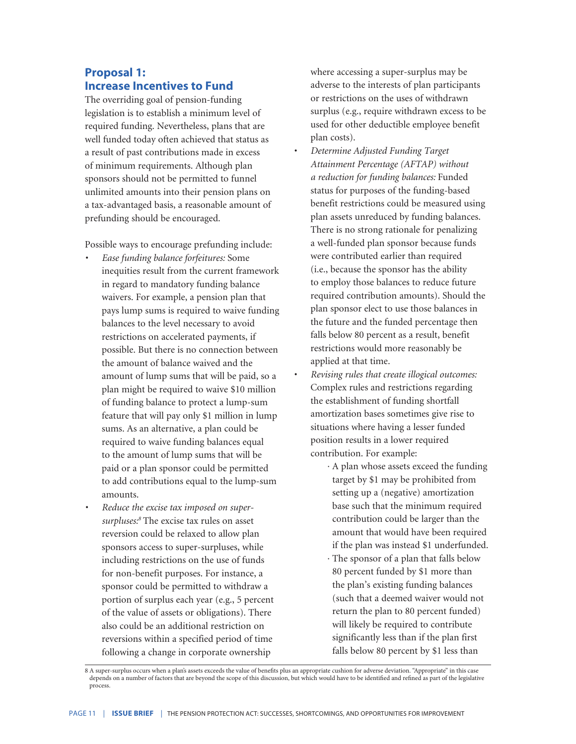### **Proposal 1: Increase Incentives to Fund**

The overriding goal of pension-funding legislation is to establish a minimum level of required funding. Nevertheless, plans that are well funded today often achieved that status as a result of past contributions made in excess of minimum requirements. Although plan sponsors should not be permitted to funnel unlimited amounts into their pension plans on a tax-advantaged basis, a reasonable amount of prefunding should be encouraged.

Possible ways to encourage prefunding include:

- *• Ease funding balance forfeitures:* Some inequities result from the current framework in regard to mandatory funding balance waivers. For example, a pension plan that pays lump sums is required to waive funding balances to the level necessary to avoid restrictions on accelerated payments, if possible. But there is no connection between the amount of balance waived and the amount of lump sums that will be paid, so a plan might be required to waive \$10 million of funding balance to protect a lump-sum feature that will pay only \$1 million in lump sums. As an alternative, a plan could be required to waive funding balances equal to the amount of lump sums that will be paid or a plan sponsor could be permitted to add contributions equal to the lump-sum amounts.
- *• Reduce the excise tax imposed on supersurpluses:8* The excise tax rules on asset reversion could be relaxed to allow plan sponsors access to super-surpluses, while including restrictions on the use of funds for non-benefit purposes. For instance, a sponsor could be permitted to withdraw a portion of surplus each year (e.g., 5 percent of the value of assets or obligations). There also could be an additional restriction on reversions within a specified period of time following a change in corporate ownership

where accessing a super-surplus may be adverse to the interests of plan participants or restrictions on the uses of withdrawn surplus (e.g., require withdrawn excess to be used for other deductible employee benefit plan costs).

- *• Determine Adjusted Funding Target Attainment Percentage (AFTAP) without a reduction for funding balances:* Funded status for purposes of the funding-based benefit restrictions could be measured using plan assets unreduced by funding balances. There is no strong rationale for penalizing a well-funded plan sponsor because funds were contributed earlier than required (i.e., because the sponsor has the ability to employ those balances to reduce future required contribution amounts). Should the plan sponsor elect to use those balances in the future and the funded percentage then falls below 80 percent as a result, benefit restrictions would more reasonably be applied at that time.
- *• Revising rules that create illogical outcomes:*  Complex rules and restrictions regarding the establishment of funding shortfall amortization bases sometimes give rise to situations where having a lesser funded position results in a lower required contribution. For example:
	- · A plan whose assets exceed the funding target by \$1 may be prohibited from setting up a (negative) amortization base such that the minimum required contribution could be larger than the amount that would have been required if the plan was instead \$1 underfunded.
	- · The sponsor of a plan that falls below 80 percent funded by \$1 more than the plan's existing funding balances (such that a deemed waiver would not return the plan to 80 percent funded) will likely be required to contribute significantly less than if the plan first falls below 80 percent by \$1 less than

<sup>8</sup> A super-surplus occurs when a plan's assets exceeds the value of benefits plus an appropriate cushion for adverse deviation. "Appropriate" in this case depends on a number of factors that are beyond the scope of this discussion, but which would have to be identified and refined as part of the legislative process.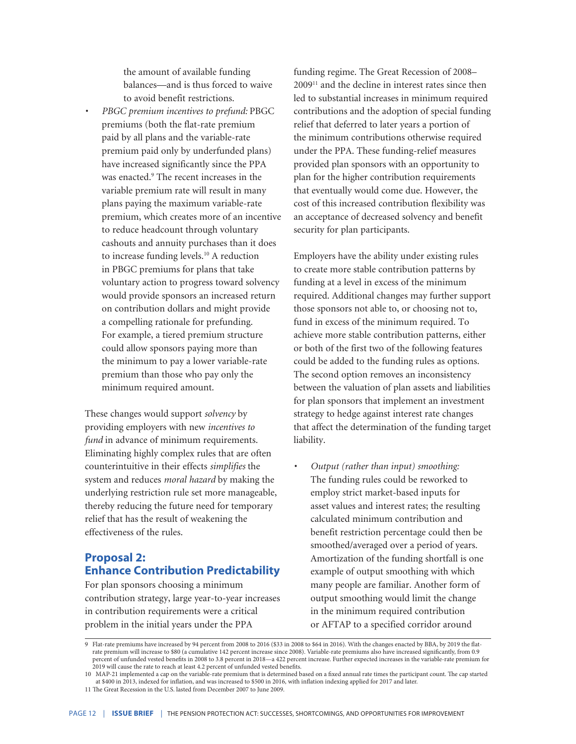the amount of available funding balances—and is thus forced to waive to avoid benefit restrictions.

*• PBGC premium incentives to prefund:* PBGC premiums (both the flat-rate premium paid by all plans and the variable-rate premium paid only by underfunded plans) have increased significantly since the PPA was enacted.<sup>9</sup> The recent increases in the variable premium rate will result in many plans paying the maximum variable-rate premium, which creates more of an incentive to reduce headcount through voluntary cashouts and annuity purchases than it does to increase funding levels.10 A reduction in PBGC premiums for plans that take voluntary action to progress toward solvency would provide sponsors an increased return on contribution dollars and might provide a compelling rationale for prefunding. For example, a tiered premium structure could allow sponsors paying more than the minimum to pay a lower variable-rate premium than those who pay only the minimum required amount.

These changes would support *solvency* by providing employers with new *incentives to fund* in advance of minimum requirements. Eliminating highly complex rules that are often counterintuitive in their effects *simplifies* the system and reduces *moral hazard* by making the underlying restriction rule set more manageable, thereby reducing the future need for temporary relief that has the result of weakening the effectiveness of the rules.

## **Proposal 2: Enhance Contribution Predictability**

For plan sponsors choosing a minimum contribution strategy, large year-to-year increases in contribution requirements were a critical problem in the initial years under the PPA

funding regime. The Great Recession of 2008– 200911 and the decline in interest rates since then led to substantial increases in minimum required contributions and the adoption of special funding relief that deferred to later years a portion of the minimum contributions otherwise required under the PPA. These funding-relief measures provided plan sponsors with an opportunity to plan for the higher contribution requirements that eventually would come due. However, the cost of this increased contribution flexibility was an acceptance of decreased solvency and benefit security for plan participants.

Employers have the ability under existing rules to create more stable contribution patterns by funding at a level in excess of the minimum required. Additional changes may further support those sponsors not able to, or choosing not to, fund in excess of the minimum required. To achieve more stable contribution patterns, either or both of the first two of the following features could be added to the funding rules as options. The second option removes an inconsistency between the valuation of plan assets and liabilities for plan sponsors that implement an investment strategy to hedge against interest rate changes that affect the determination of the funding target liability.

*• Output (rather than input) smoothing:* The funding rules could be reworked to employ strict market-based inputs for asset values and interest rates; the resulting calculated minimum contribution and benefit restriction percentage could then be smoothed/averaged over a period of years. Amortization of the funding shortfall is one example of output smoothing with which many people are familiar. Another form of output smoothing would limit the change in the minimum required contribution or AFTAP to a specified corridor around

<sup>9</sup> Flat-rate premiums have increased by 94 percent from 2008 to 2016 (\$33 in 2008 to \$64 in 2016). With the changes enacted by BBA, by 2019 the flatrate premium will increase to \$80 (a cumulative 142 percent increase since 2008). Variable-rate premiums also have increased significantly, from 0.9 percent of unfunded vested benefits in 2008 to 3.8 percent in 2018—a 422 percent increase. Further expected increases in the variable-rate premium for 2019 will cause the rate to reach at least 4.2 percent of unfunded vested benefits.

<sup>10</sup> MAP-21 implemented a cap on the variable-rate premium that is determined based on a fixed annual rate times the participant count. The cap started at \$400 in 2013, indexed for inflation, and was increased to \$500 in 2016, with inflation indexing applied for 2017 and later.

<sup>11</sup> The Great Recession in the U.S. lasted from December 2007 to June 2009.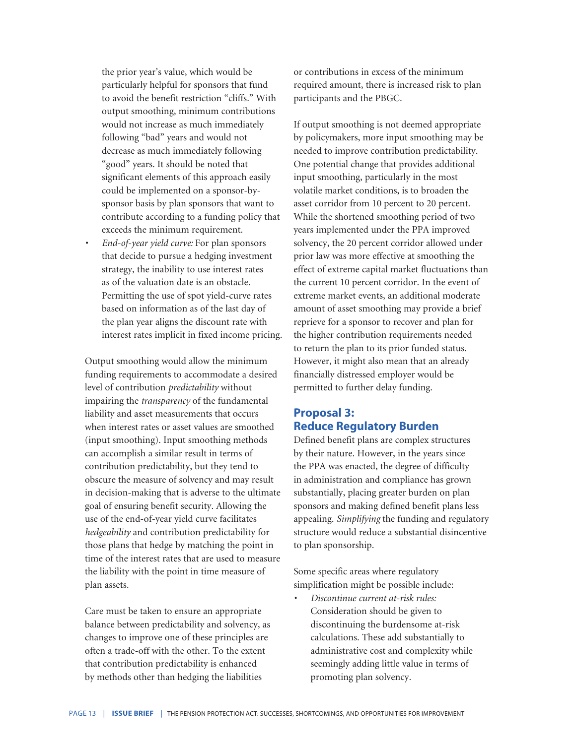the prior year's value, which would be particularly helpful for sponsors that fund to avoid the benefit restriction "cliffs." With output smoothing, minimum contributions would not increase as much immediately following "bad" years and would not decrease as much immediately following "good" years. It should be noted that significant elements of this approach easily could be implemented on a sponsor-bysponsor basis by plan sponsors that want to contribute according to a funding policy that exceeds the minimum requirement.

*• End-of-year yield curve:* For plan sponsors that decide to pursue a hedging investment strategy, the inability to use interest rates as of the valuation date is an obstacle. Permitting the use of spot yield-curve rates based on information as of the last day of the plan year aligns the discount rate with interest rates implicit in fixed income pricing.

Output smoothing would allow the minimum funding requirements to accommodate a desired level of contribution *predictability* without impairing the *transparency* of the fundamental liability and asset measurements that occurs when interest rates or asset values are smoothed (input smoothing). Input smoothing methods can accomplish a similar result in terms of contribution predictability, but they tend to obscure the measure of solvency and may result in decision-making that is adverse to the ultimate goal of ensuring benefit security. Allowing the use of the end-of-year yield curve facilitates *hedgeability* and contribution predictability for those plans that hedge by matching the point in time of the interest rates that are used to measure the liability with the point in time measure of plan assets*.*

Care must be taken to ensure an appropriate balance between predictability and solvency, as changes to improve one of these principles are often a trade-off with the other. To the extent that contribution predictability is enhanced by methods other than hedging the liabilities

or contributions in excess of the minimum required amount, there is increased risk to plan participants and the PBGC.

If output smoothing is not deemed appropriate by policymakers, more input smoothing may be needed to improve contribution predictability. One potential change that provides additional input smoothing, particularly in the most volatile market conditions, is to broaden the asset corridor from 10 percent to 20 percent. While the shortened smoothing period of two years implemented under the PPA improved solvency, the 20 percent corridor allowed under prior law was more effective at smoothing the effect of extreme capital market fluctuations than the current 10 percent corridor. In the event of extreme market events, an additional moderate amount of asset smoothing may provide a brief reprieve for a sponsor to recover and plan for the higher contribution requirements needed to return the plan to its prior funded status. However, it might also mean that an already financially distressed employer would be permitted to further delay funding.

### **Proposal 3: Reduce Regulatory Burden**

Defined benefit plans are complex structures by their nature. However, in the years since the PPA was enacted, the degree of difficulty in administration and compliance has grown substantially, placing greater burden on plan sponsors and making defined benefit plans less appealing. *Simplifying* the funding and regulatory structure would reduce a substantial disincentive to plan sponsorship.

Some specific areas where regulatory simplification might be possible include:

*• Discontinue current at-risk rules:* Consideration should be given to discontinuing the burdensome at-risk calculations. These add substantially to administrative cost and complexity while seemingly adding little value in terms of promoting plan solvency.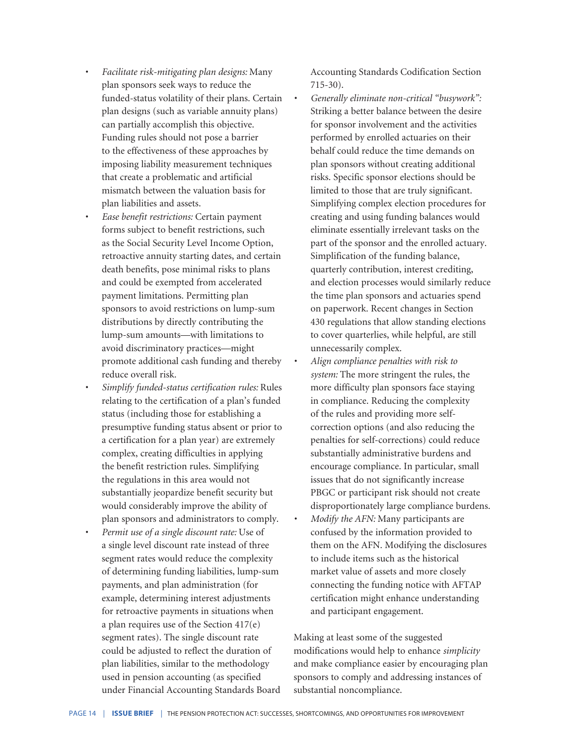- *• Facilitate risk-mitigating plan designs:* Many plan sponsors seek ways to reduce the funded-status volatility of their plans. Certain plan designs (such as variable annuity plans) can partially accomplish this objective. Funding rules should not pose a barrier to the effectiveness of these approaches by imposing liability measurement techniques that create a problematic and artificial mismatch between the valuation basis for plan liabilities and assets.
- *• Ease benefit restrictions:* Certain payment forms subject to benefit restrictions, such as the Social Security Level Income Option, retroactive annuity starting dates, and certain death benefits, pose minimal risks to plans and could be exempted from accelerated payment limitations. Permitting plan sponsors to avoid restrictions on lump-sum distributions by directly contributing the lump-sum amounts—with limitations to avoid discriminatory practices—might promote additional cash funding and thereby reduce overall risk.
- *• Simplify funded-status certification rules:* Rules relating to the certification of a plan's funded status (including those for establishing a presumptive funding status absent or prior to a certification for a plan year) are extremely complex, creating difficulties in applying the benefit restriction rules. Simplifying the regulations in this area would not substantially jeopardize benefit security but would considerably improve the ability of plan sponsors and administrators to comply.
- *• Permit use of a single discount rate:* Use of a single level discount rate instead of three segment rates would reduce the complexity of determining funding liabilities, lump-sum payments, and plan administration (for example, determining interest adjustments for retroactive payments in situations when a plan requires use of the Section 417(e) segment rates). The single discount rate could be adjusted to reflect the duration of plan liabilities, similar to the methodology used in pension accounting (as specified under Financial Accounting Standards Board

Accounting Standards Codification Section 715-30).

- *• Generally eliminate non-critical "busywork":* Striking a better balance between the desire for sponsor involvement and the activities performed by enrolled actuaries on their behalf could reduce the time demands on plan sponsors without creating additional risks. Specific sponsor elections should be limited to those that are truly significant. Simplifying complex election procedures for creating and using funding balances would eliminate essentially irrelevant tasks on the part of the sponsor and the enrolled actuary. Simplification of the funding balance, quarterly contribution, interest crediting, and election processes would similarly reduce the time plan sponsors and actuaries spend on paperwork. Recent changes in Section 430 regulations that allow standing elections to cover quarterlies, while helpful, are still unnecessarily complex.
- *• Align compliance penalties with risk to system:* The more stringent the rules, the more difficulty plan sponsors face staying in compliance. Reducing the complexity of the rules and providing more selfcorrection options (and also reducing the penalties for self-corrections) could reduce substantially administrative burdens and encourage compliance. In particular, small issues that do not significantly increase PBGC or participant risk should not create disproportionately large compliance burdens.
- *• Modify the AFN:* Many participants are confused by the information provided to them on the AFN. Modifying the disclosures to include items such as the historical market value of assets and more closely connecting the funding notice with AFTAP certification might enhance understanding and participant engagement.

Making at least some of the suggested modifications would help to enhance *simplicity* and make compliance easier by encouraging plan sponsors to comply and addressing instances of substantial noncompliance.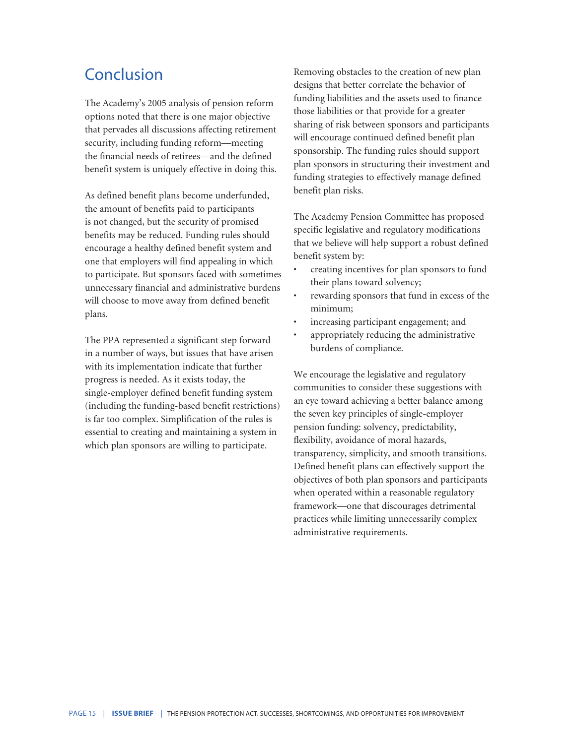# Conclusion

The Academy's 2005 analysis of pension reform options noted that there is one major objective that pervades all discussions affecting retirement security, including funding reform—meeting the financial needs of retirees—and the defined benefit system is uniquely effective in doing this.

As defined benefit plans become underfunded, the amount of benefits paid to participants is not changed, but the security of promised benefits may be reduced. Funding rules should encourage a healthy defined benefit system and one that employers will find appealing in which to participate. But sponsors faced with sometimes unnecessary financial and administrative burdens will choose to move away from defined benefit plans.

The PPA represented a significant step forward in a number of ways, but issues that have arisen with its implementation indicate that further progress is needed. As it exists today, the single-employer defined benefit funding system (including the funding-based benefit restrictions) is far too complex. Simplification of the rules is essential to creating and maintaining a system in which plan sponsors are willing to participate.

Removing obstacles to the creation of new plan designs that better correlate the behavior of funding liabilities and the assets used to finance those liabilities or that provide for a greater sharing of risk between sponsors and participants will encourage continued defined benefit plan sponsorship. The funding rules should support plan sponsors in structuring their investment and funding strategies to effectively manage defined benefit plan risks.

The Academy Pension Committee has proposed specific legislative and regulatory modifications that we believe will help support a robust defined benefit system by:

- creating incentives for plan sponsors to fund their plans toward solvency;
- rewarding sponsors that fund in excess of the minimum;
- increasing participant engagement; and
- appropriately reducing the administrative burdens of compliance.

We encourage the legislative and regulatory communities to consider these suggestions with an eye toward achieving a better balance among the seven key principles of single-employer pension funding: solvency, predictability, flexibility, avoidance of moral hazards, transparency, simplicity, and smooth transitions. Defined benefit plans can effectively support the objectives of both plan sponsors and participants when operated within a reasonable regulatory framework—one that discourages detrimental practices while limiting unnecessarily complex administrative requirements.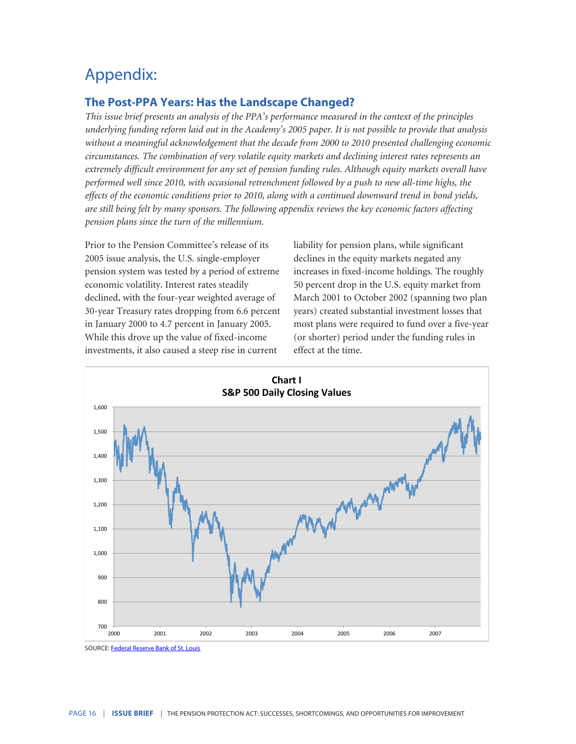# Appendix:

## **The Post-PPA Years: Has the Landscape Changed?**

*This issue brief presents an analysis of the PPA's performance measured in the context of the principles underlying funding reform laid out in the Academy's 2005 paper. It is not possible to provide that analysis without a meaningful acknowledgement that the decade from 2000 to 2010 presented challenging economic circumstances. The combination of very volatile equity markets and declining interest rates represents an extremely difficult environment for any set of pension funding rules. Although equity markets overall have performed well since 2010, with occasional retrenchment followed by a push to new all-time highs, the effects of the economic conditions prior to 2010, along with a continued downward trend in bond yields, are still being felt by many sponsors. The following appendix reviews the key economic factors affecting pension plans since the turn of the millennium.*

Prior to the Pension Committee's release of its 2005 issue analysis, the U.S. single-employer pension system was tested by a period of extreme economic volatility. Interest rates steadily declined, with the four-year weighted average of 30-year Treasury rates dropping from 6.6 percent in January 2000 to 4.7 percent in January 2005. While this drove up the value of fixed-income investments, it also caused a steep rise in current

liability for pension plans, while significant declines in the equity markets negated any increases in fixed-income holdings. The roughly 50 percent drop in the U.S. equity market from March 2001 to October 2002 (spanning two plan years) created substantial investment losses that most plans were required to fund over a five-year (or shorter) period under the funding rules in effect at the time.



SOURCE: [Federal Reserve Bank of St. Louis](https://fred.stlouisfed.org/series/SP500)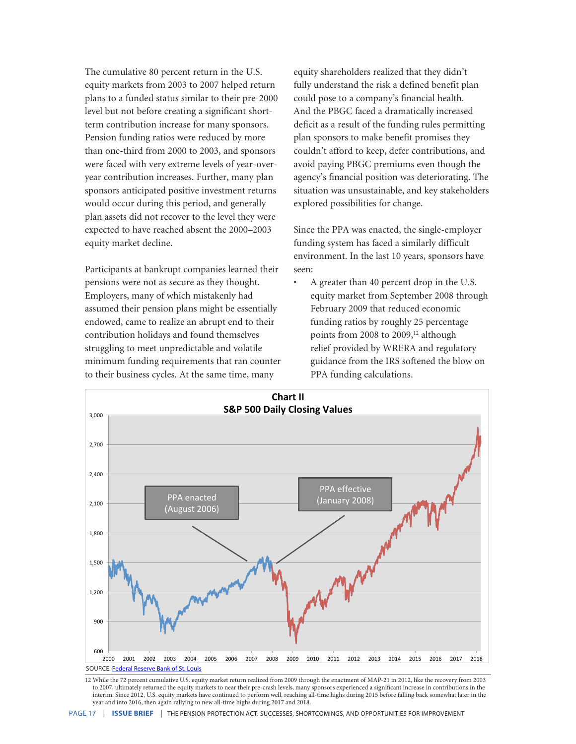The cumulative 80 percent return in the U.S. equity markets from 2003 to 2007 helped return plans to a funded status similar to their pre-2000 level but not before creating a significant shortterm contribution increase for many sponsors. Pension funding ratios were reduced by more than one-third from 2000 to 2003, and sponsors were faced with very extreme levels of year-overyear contribution increases. Further, many plan sponsors anticipated positive investment returns would occur during this period, and generally plan assets did not recover to the level they were expected to have reached absent the 2000–2003 equity market decline.

Participants at bankrupt companies learned their pensions were not as secure as they thought. Employers, many of which mistakenly had assumed their pension plans might be essentially endowed, came to realize an abrupt end to their contribution holidays and found themselves struggling to meet unpredictable and volatile minimum funding requirements that ran counter to their business cycles. At the same time, many

equity shareholders realized that they didn't fully understand the risk a defined benefit plan could pose to a company's financial health. And the PBGC faced a dramatically increased deficit as a result of the funding rules permitting plan sponsors to make benefit promises they couldn't afford to keep, defer contributions, and avoid paying PBGC premiums even though the agency's financial position was deteriorating. The situation was unsustainable, and key stakeholders explored possibilities for change.

Since the PPA was enacted, the single-employer funding system has faced a similarly difficult environment. In the last 10 years, sponsors have seen:

• A greater than 40 percent drop in the U.S. equity market from September 2008 through February 2009 that reduced economic funding ratios by roughly 25 percentage points from 2008 to 2009,<sup>12</sup> although relief provided by WRERA and regulatory guidance from the IRS softened the blow on PPA funding calculations.



12 While the 72 percent cumulative U.S. equity market return realized from 2009 through the enactment of MAP-21 in 2012, like the recovery from 2003 to 2007, ultimately returned the equity markets to near their pre-crash levels, many sponsors experienced a significant increase in contributions in the interim. Since 2012, U.S. equity markets have continued to perform well, reaching all-time highs during 2015 before falling back somewhat later in the year and into 2016, then again rallying to new all-time highs during 2017 and 2018.